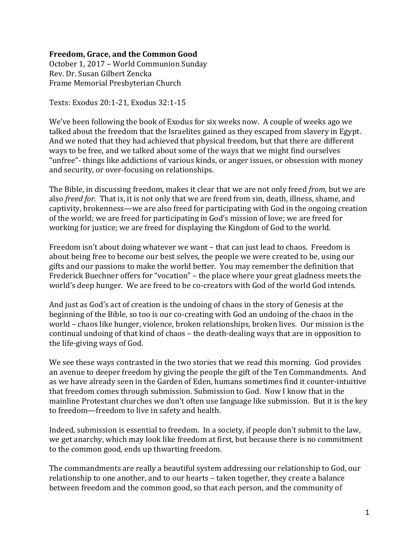## **Freedom, Grace, and the Common Good**

October 1, 2017 – World Communion Sunday Rev. Dr. Susan Gilbert Zencka Frame Memorial Presbyterian Church

Texts: Exodus 20:1-21, Exodus 32:1-15

We've been following the book of Exodus for six weeks now. A couple of weeks ago we talked about the freedom that the Israelites gained as they escaped from slavery in Egypt. And we noted that they had achieved that physical freedom, but that there are different ways to be free, and we talked about some of the ways that we might find ourselves "unfree"- things like addictions of various kinds, or anger issues, or obsession with money and security, or over-focusing on relationships.

The Bible, in discussing freedom, makes it clear that we are not only freed *from,* but we are also *freed for.* That is, it is not only that we are freed from sin, death, illness, shame, and captivity, brokenness—we are also freed for participating with God in the ongoing creation of the world; we are freed for participating in God's mission of love; we are freed for working for justice; we are freed for displaying the Kingdom of God to the world.

Freedom isn't about doing whatever we want – that can just lead to chaos. Freedom is about being free to become our best selves, the people we were created to be, using our gifts and our passions to make the world better. You may remember the definition that Frederick Buechner offers for "vocation" – the place where your great gladness meets the world's deep hunger. We are freed to be co-creators with God of the world God intends.

And just as God's act of creation is the undoing of chaos in the story of Genesis at the beginning of the Bible, so too is our co-creating with God an undoing of the chaos in the world – chaos like hunger, violence, broken relationships, broken lives. Our mission is the continual undoing of that kind of chaos – the death-dealing ways that are in opposition to the life-giving ways of God.

We see these ways contrasted in the two stories that we read this morning. God provides an avenue to deeper freedom by giving the people the gift of the Ten Commandments. And as we have already seen in the Garden of Eden, humans sometimes find it counter-intuitive that freedom comes through submission. Submission to God. Now I know that in the mainline Protestant churches we don't often use language like submission. But it is the key to freedom—freedom to live in safety and health.

Indeed, submission is essential to freedom. In a society, if people don't submit to the law, we get anarchy, which may look like freedom at first, but because there is no commitment to the common good, ends up thwarting freedom.

The commandments are really a beautiful system addressing our relationship to God, our relationship to one another, and to our hearts – taken together, they create a balance between freedom and the common good, so that each person, and the community of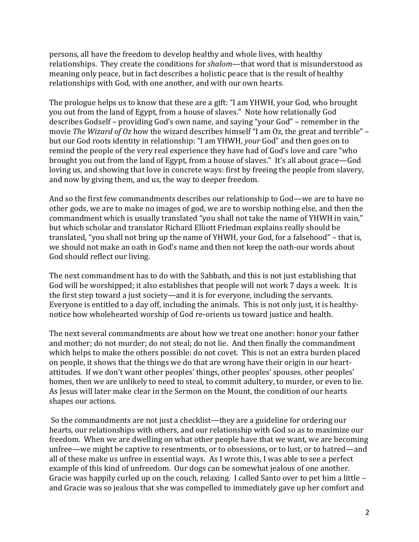persons, all have the freedom to develop healthy and whole lives, with healthy relationships. They create the conditions for *shalom*—that word that is misunderstood as meaning only peace, but in fact describes a holistic peace that is the result of healthy relationships with God, with one another, and with our own hearts.

The prologue helps us to know that these are a gift: "I am YHWH, your God, who brought you out from the land of Egypt, from a house of slaves." Note how relationally God describes Godself – providing God's own name, and saying "your God" – remember in the movie *The Wizard of Oz* how the wizard describes himself "I am Oz, the great and terrible" – but our God roots identity in relationship: "I am YHWH, *your* God" and then goes on to remind the people of the very real experience they have had of God's love and care "who brought you out from the land of Egypt, from a house of slaves." It's all about grace—God loving us, and showing that love in concrete ways: first by freeing the people from slavery, and now by giving them, and us, the way to deeper freedom.

And so the first few commandments describes our relationship to God—we are to have no other gods, we are to make no images of god, we are to worship nothing else, and then the commandment which is usually translated "you shall not take the name of YHWH in vain," but which scholar and translator Richard Elliott Friedman explains really should be translated, "you shall not bring up the name of YHWH, your God, for a falsehood" – that is, we should not make an oath in God's name and then not keep the oath-our words about God should reflect our living.

The next commandment has to do with the Sabbath, and this is not just establishing that God will be worshipped; it also establishes that people will not work 7 days a week. It is the first step toward a just society—and it is for everyone, including the servants. Everyone is entitled to a day off, including the animals. This is not only just, it is healthynotice how wholehearted worship of God re-orients us toward justice and health.

The next several commandments are about how we treat one another: honor your father and mother; do not murder; do not steal; do not lie. And then finally the commandment which helps to make the others possible: do not covet. This is not an extra burden placed on people, it shows that the things we do that are wrong have their origin in our heartattitudes. If we don't want other peoples' things, other peoples' spouses, other peoples' homes, then we are unlikely to need to steal, to commit adultery, to murder, or even to lie. As Jesus will later make clear in the Sermon on the Mount, the condition of our hearts shapes our actions.

So the commandments are not just a checklist—they are a guideline for ordering our hearts, our relationships with others, and our relationship with God so as to maximize our freedom. When we are dwelling on what other people have that we want, we are becoming unfree—we might be captive to resentments, or to obsessions, or to lust, or to hatred—and all of these make us unfree in essential ways. As I wrote this, I was able to see a perfect example of this kind of unfreedom. Our dogs can be somewhat jealous of one another. Gracie was happily curled up on the couch, relaxing. I called Santo over to pet him a little – and Gracie was so jealous that she was compelled to immediately gave up her comfort and